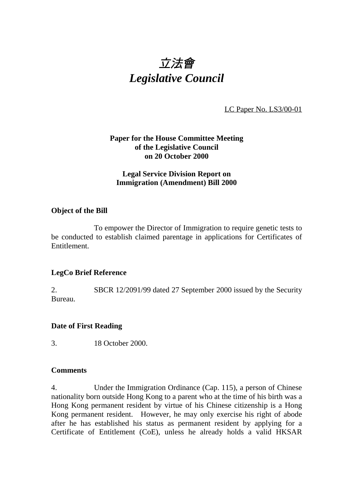# 立法會 *Legislative Council*

LC Paper No. LS3/00-01

### **Paper for the House Committee Meeting of the Legislative Council on 20 October 2000**

### **Legal Service Division Report on Immigration (Amendment) Bill 2000**

#### **Object of the Bill**

To empower the Director of Immigration to require genetic tests to be conducted to establish claimed parentage in applications for Certificates of Entitlement.

### **LegCo Brief Reference**

2. SBCR 12/2091/99 dated 27 September 2000 issued by the Security Bureau.

### **Date of First Reading**

3. 18 October 2000.

### **Comments**

4. Under the Immigration Ordinance (Cap. 115), a person of Chinese nationality born outside Hong Kong to a parent who at the time of his birth was a Hong Kong permanent resident by virtue of his Chinese citizenship is a Hong Kong permanent resident. However, he may only exercise his right of abode after he has established his status as permanent resident by applying for a Certificate of Entitlement (CoE), unless he already holds a valid HKSAR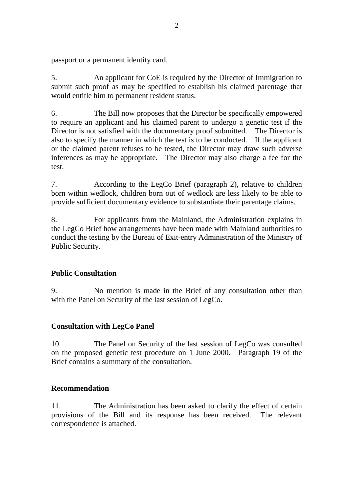passport or a permanent identity card.

5. An applicant for CoE is required by the Director of Immigration to submit such proof as may be specified to establish his claimed parentage that would entitle him to permanent resident status.

6. The Bill now proposes that the Director be specifically empowered to require an applicant and his claimed parent to undergo a genetic test if the Director is not satisfied with the documentary proof submitted. The Director is also to specify the manner in which the test is to be conducted. If the applicant or the claimed parent refuses to be tested, the Director may draw such adverse inferences as may be appropriate. The Director may also charge a fee for the test.

7. According to the LegCo Brief (paragraph 2), relative to children born within wedlock, children born out of wedlock are less likely to be able to provide sufficient documentary evidence to substantiate their parentage claims.

8. For applicants from the Mainland, the Administration explains in the LegCo Brief how arrangements have been made with Mainland authorities to conduct the testing by the Bureau of Exit-entry Administration of the Ministry of Public Security.

## **Public Consultation**

9. No mention is made in the Brief of any consultation other than with the Panel on Security of the last session of LegCo.

### **Consultation with LegCo Panel**

10. The Panel on Security of the last session of LegCo was consulted on the proposed genetic test procedure on 1 June 2000. Paragraph 19 of the Brief contains a summary of the consultation.

### **Recommendation**

11. The Administration has been asked to clarify the effect of certain provisions of the Bill and its response has been received. The relevant correspondence is attached.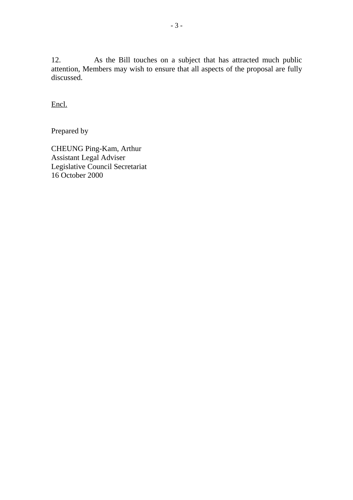12. As the Bill touches on a subject that has attracted much public attention, Members may wish to ensure that all aspects of the proposal are fully discussed.

Encl.

Prepared by

CHEUNG Ping-Kam, Arthur Assistant Legal Adviser Legislative Council Secretariat 16 October 2000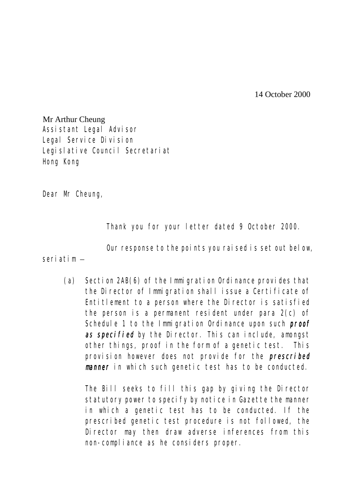14 October 2000

Mr Arthur Cheung Assistant Legal Advisor Legal Service Division Legislative Council Secretariat Hong Kong

Dear Mr Cheung,

Thank you for your letter dated 9 October 2000.

Our response to the points you raised is set out below,

seriatim –

(a) Section 2AB(6) of the Immigration Ordinance provides that the Director of Immigration shall issue a Certificate of Entitlement to a person where the Director is satisfied the person is a permanent resident under para 2(c) of Schedule 1 to the Immigration Ordinance upon such **proof** as specified by the Director. This can include, amongst other things, proof in the form of a genetic test. This provision however does not provide for the prescribed manner in which such genetic test has to be conducted.

The Bill seeks to fill this gap by giving the Director statutory power to specify by notice in Gazette the manner in which a genetic test has to be conducted. If the prescribed genetic test procedure is not followed, the Director may then draw adverse inferences from this non-compliance as he considers proper.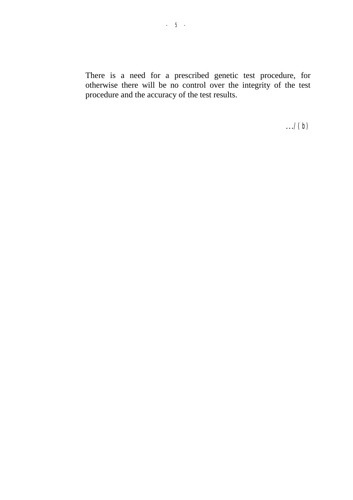There is a need for a prescribed genetic test procedure, for otherwise there will be no control over the integrity of the test procedure and the accuracy of the test results.

 $\ldots$ /(b)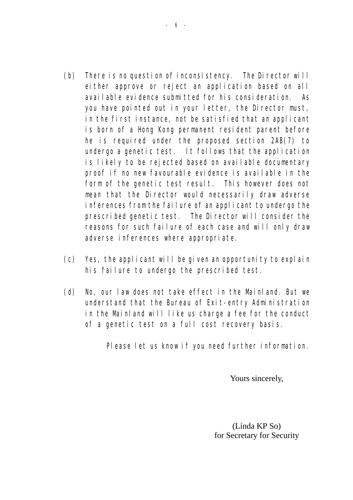- (b) There is no question of inconsistency. The Director will either approve or reject an application based on all available evidence submitted for his consideration. As you have pointed out in your letter, the Director must, in the first instance, not be satisfied that an applicant is born of a Hong Kong permanent resident parent before he is required under the proposed section 2AB(7) to undergo a genetic test. It follows that the application is likely to be rejected based on available documentary proof if no new favourable evidence is available in the form of the genetic test result. This however does not mean that the Director would necessarily draw adverse inferences from the failure of an applicant to undergo the prescribed genetic test. The Director will consider the reasons for such failure of each case and will only draw adverse inferences where appropriate.
- (c) Yes, the applicant will be given an opportunity to explain his failure to undergo the prescribed test.
- (d) No, our law does not take effect in the Mainland. But we understand that the Bureau of Exit-entry Administration in the Mainland will like us charge a fee for the conduct of a genetic test on a full cost recovery basis.

Please let us know if you need further information.

Yours sincerely,

(Linda KP So) for Secretary for Security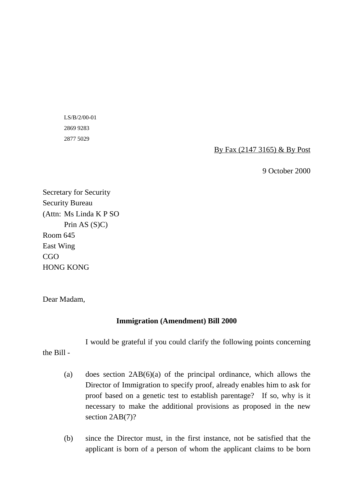LS/B/2/00-01 2869 9283 2877 5029

By Fax (2147 3165) & By Post

9 October 2000

Secretary for Security Security Bureau (Attn: Ms Linda K P SO Prin AS (S)C) Room 645 East Wing CGO HONG KONG

Dear Madam,

### **Immigration (Amendment) Bill 2000**

I would be grateful if you could clarify the following points concerning

the Bill -

- (a) does section 2AB(6)(a) of the principal ordinance, which allows the Director of Immigration to specify proof, already enables him to ask for proof based on a genetic test to establish parentage? If so, why is it necessary to make the additional provisions as proposed in the new section  $2AB(7)$ ?
- (b) since the Director must, in the first instance, not be satisfied that the applicant is born of a person of whom the applicant claims to be born